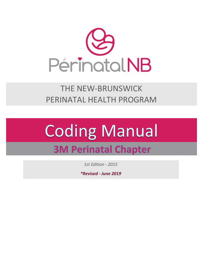

THE NEW-BRUNSWICK PERINATAL HEALTH PROGRAM

# **Coding Manual 3M Perinatal Chapter**

*1st Edition - 2015*

*\*Revised - June 2019*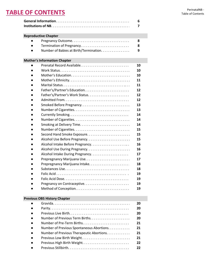# **Reproductive Chapter**

| $\bullet$ | Pregnancy Outcome                     | 8   |
|-----------|---------------------------------------|-----|
| $\bullet$ | Termination of Pregnancy              | 8   |
| $\bullet$ | Number of Babies at Birth/Termination | - 9 |

# **Mother's Information Chapter**

|                                 | 10 |
|---------------------------------|----|
|                                 | 10 |
|                                 | 10 |
|                                 | 11 |
|                                 | 11 |
|                                 | 12 |
|                                 | 12 |
|                                 | 12 |
| Smoked Before Pregnancy         | 13 |
|                                 | 13 |
|                                 | 14 |
|                                 | 14 |
|                                 | 14 |
|                                 | 15 |
|                                 | 15 |
| Alcohol Use Before Pregnancy    | 15 |
| Alcohol Intake Before Pregnancy | 16 |
| Alcohol Use During Pregnancy    | 16 |
| Alcohol Intake During Pregnancy | 17 |
|                                 | 17 |
|                                 | 18 |
|                                 | 18 |
|                                 | 19 |
|                                 | 19 |
| Pregnancy on Contraceptive      | 19 |
|                                 | 19 |

# **Previous OBS History Chapter**

|           |                                                                                              | 20 |
|-----------|----------------------------------------------------------------------------------------------|----|
|           |                                                                                              | 20 |
|           |                                                                                              | 20 |
| $\bullet$ |                                                                                              | 20 |
| $\bullet$ | Number of Pre-Term Births. $\ldots$ . $\ldots$ . $\ldots$ . $\ldots$ . $\ldots$ . $\ldots$ . | 21 |
|           | Number of Previous Spontaneous Abortions                                                     | 21 |
|           | Number of Previous Therapeutic Abortions.                                                    | 21 |
|           |                                                                                              | 21 |
|           | Previous High Birth Weight                                                                   | 22 |
|           |                                                                                              | 22 |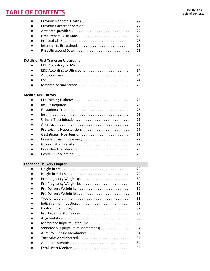| $\bullet$ |                       | 22 |
|-----------|-----------------------|----|
| $\bullet$ |                       | 22 |
| $\bullet$ |                       | 22 |
| $\bullet$ |                       | 23 |
| $\bullet$ |                       | 23 |
| $\bullet$ |                       | 23 |
| $\bullet$ | First Ultrasound Date | 23 |
|           |                       |    |

# **Details of First Trimester Ultrasound**

|  | - 23 |
|--|------|
|  |      |
|  | -24  |
|  | - 24 |
|  |      |

# **Medical Risk Factors**

|                           | 25 |
|---------------------------|----|
|                           | 25 |
|                           | 25 |
|                           | 26 |
|                           | 26 |
|                           | 26 |
|                           | 27 |
|                           | 27 |
| Preeclampsia In Pregnancy | 27 |
|                           | 27 |
|                           | 28 |
|                           | 28 |

# **Labor and Delivery Chapter**

|           |                                     | 29 |
|-----------|-------------------------------------|----|
| $\bullet$ |                                     | 29 |
| $\bullet$ |                                     | 30 |
| $\bullet$ |                                     | 30 |
| $\bullet$ |                                     | 30 |
| $\bullet$ |                                     | 31 |
| $\bullet$ |                                     | 31 |
| $\bullet$ |                                     | 32 |
| $\bullet$ |                                     | 32 |
| $\bullet$ |                                     | 33 |
| $\bullet$ |                                     | 33 |
| $\bullet$ | Membrane Rupture Date/Time          | 33 |
| $\bullet$ | Spontaneous (Rupture of Membranes). | 34 |
| $\bullet$ |                                     | 34 |
| $\bullet$ |                                     | 34 |
|           |                                     | 34 |
|           |                                     | 35 |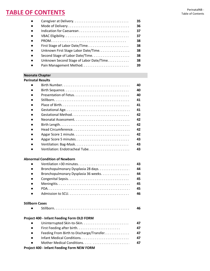|           |                                         | 35 |
|-----------|-----------------------------------------|----|
| $\bullet$ |                                         | 36 |
| $\bullet$ |                                         | 37 |
| $\bullet$ |                                         | 37 |
| $\bullet$ |                                         | 38 |
| $\bullet$ | First Stage of Labor Date/Time          | 38 |
| $\bullet$ | Unknown First Stage Labor Date/Time     | 38 |
| $\bullet$ | Second Stage of Labor Date/Time         | 38 |
| $\bullet$ | Unknown Second Stage of Labor Date/Time | 38 |
|           |                                         | 39 |
|           |                                         |    |

# **Neonate Chapter**

# **Perinatal Results**

|                       | 40 |
|-----------------------|----|
|                       | 40 |
|                       | 40 |
|                       | 41 |
|                       | 41 |
|                       | 41 |
|                       | 42 |
|                       | 42 |
|                       | 42 |
|                       | 42 |
| Apgar Score 1 minute  | 42 |
| Apgar Score 5 minutes | 43 |
|                       | 43 |
|                       | 43 |

# **Abnormal Condition of Newborn**

| $\bullet$ |                                     | 43 |
|-----------|-------------------------------------|----|
| $\bullet$ | Bronchopulmonary Dysplasia 28 days  | 44 |
| $\bullet$ | Bronchopulmonary Dysplasia 36 weeks | 44 |
| $\bullet$ |                                     | 45 |
| $\bullet$ |                                     | 45 |
| $\bullet$ |                                     | 45 |
| $\bullet$ |                                     | 46 |

# **Stillborn Cases**

|--|--|--|

# **Project 400 - Infant Feeding Form OLD FORM**

| $\bullet$ |                                           | 47 |  |
|-----------|-------------------------------------------|----|--|
| $\bullet$ | First Feeding after birth                 | 47 |  |
| $\bullet$ | Feeding From Birth to Discharge/Transfer  | 47 |  |
| $\bullet$ |                                           | 47 |  |
| $\bullet$ |                                           | 47 |  |
|           | is at 400 linfant Faceling Fours NEW FODM |    |  |

# **Project 400 - Infant Feeding Form NEW FORM**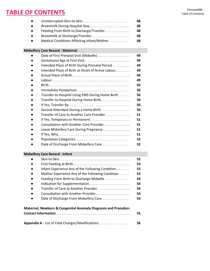| $\bullet$ |                                            | 48 |
|-----------|--------------------------------------------|----|
| $\bullet$ | Breastmilk During Hospital Stay            | 48 |
| $\bullet$ | Feeding From Birth to Discharge/Transfer   | 48 |
| $\bullet$ | Breastmilk at Discharge/Transfer           | 48 |
| $\bullet$ | Medical Conditions Affecting Infant/Mother | 48 |

# **Midwifery Care Record - Maternal**

|           | Date of First Prenatal Visit (Midwife).           | 49 |
|-----------|---------------------------------------------------|----|
| $\bullet$ |                                                   | 49 |
| $\bullet$ | Intended Place of Birth During Prenatal Period    | 49 |
| $\bullet$ | Intended Place of Birth at Onset of Active Labour | 49 |
| $\bullet$ |                                                   | 49 |
| $\bullet$ |                                                   | 49 |
| $\bullet$ |                                                   | 50 |
| $\bullet$ |                                                   | 50 |
| $\bullet$ | Transfer to Hospital Using EMS During Home Birth  | 50 |
| $\bullet$ | Transfer to Hospital During Home Birth.           | 50 |
| $\bullet$ |                                                   | 50 |
| $\bullet$ | Second Attendant During a Home Birth              | 50 |
| $\bullet$ | Transfer of Care to Another Care Provider.        | 51 |
| $\bullet$ |                                                   | 51 |
| $\bullet$ | Consultation with Another Care Provider           | 51 |
| $\bullet$ | Leave Midwifery Care During Pregnancy             | 51 |
| $\bullet$ |                                                   | 51 |
| $\bullet$ |                                                   | 52 |
|           | Date of Discharge From Midwifery Care.            | 52 |

# **Midwifery Care Record - Infant**

| $\bullet$ |                                                                           | 53 |
|-----------|---------------------------------------------------------------------------|----|
| $\bullet$ |                                                                           | 53 |
| $\bullet$ | Infant Experience Any of the Following Condition                          | 53 |
| $\bullet$ | Mother Experience Any of the Following Condition                          | 53 |
| $\bullet$ | Feeding From Birth to Discharge Midwife                                   | 54 |
| $\bullet$ |                                                                           | 54 |
| $\bullet$ | Transfer of Care to Another Provider                                      | 54 |
| $\bullet$ | Consultation with Another Provider                                        | 54 |
| $\bullet$ | Date of Discharge From Midwifery Care                                     | 54 |
|           | <b>Maternal, Newborn &amp; Congenital Anomaly Diagnosis and Procedure</b> |    |
|           |                                                                           | 55 |

| Appendix A - List of Field Changes/Modifications. | 56 |
|---------------------------------------------------|----|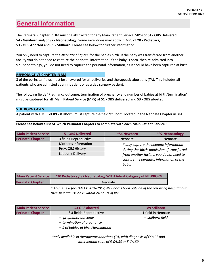# **General Information**

The Perinatal Chapter in 3M must be abstracted for any Main Patient Service(MPS) of **51 - OBS Delivered**, **54 - Newborn** and/or **97 - Neonatology**. Some exceptions may apply in MPS of **20 - Pediatrics**, **53 - OBS Aborted** and **89 - Stillborn.** Please see below for further information.

You only need to capture the *Neonate Chapter* for the babies birth. If the baby was transferred from another facility you do not need to capture the perinatal information. If the baby is born, then re-admitted into 97 - neonatology, you do not need to capture the perinatal information, as it should have been captured at birth.

# **REPRODUCTIVE CHAPTER IN 3M**

3 of the perinatal fields must be answered for all deliveries and therapeutic abortions (TA). This includes all patients who are admitted as an **inpatient** or as a **day surgery patient**.

The following fields "Pregnancy outcome, termination of pregnancy and number of babies at birth/termination" must be captured for all 'Main Patient Service (MPS) of **51 - OBS delivered** and **53 - OBS aborted**.

## **STILLBORN CASES**

A patient with a MPS of **89 - stillborn**, must capture the field 'stillborn' located in the Neonate Chapter in 3M.

**Please see below a list of which Perinatal Chapters to complete with each Main Patient Service :**

| <b>Main Patient Service</b> | <b>51 OBS Delivered</b> | <b>*54 Newborn</b>                                                                             | <b>*97 Neonatology</b>                   |
|-----------------------------|-------------------------|------------------------------------------------------------------------------------------------|------------------------------------------|
| <b>Perinatal Chapter</b>    | 3 fields-Reproductive   | <b>Neonate</b>                                                                                 | Neonate                                  |
|                             | Mother's Information    |                                                                                                | * only capture the neonate information   |
|                             | Prev. OBS History       | during the <b>birth</b> admission. If transferred<br>from another facility, you do not need to |                                          |
|                             | Labour + Delivery       |                                                                                                |                                          |
|                             |                         |                                                                                                | capture the perinatal information of the |

| <b>Main Patient Service</b> | *20 Pediatrics / 97 Neonatology WITH Admit Category of NEWBORN |
|-----------------------------|----------------------------------------------------------------|
| <b>Perinatal Chapter</b>    | Neonate                                                        |

*\* This is new for DAD FY 2016-2017, Newborns born outside of the reporting hospital but their first admission is within 24 hours of life.* 

| <b>Main Patient Service</b> | 53 OBS aborted          | 89 Stillborn       |
|-----------------------------|-------------------------|--------------------|
| <b>Perinatal Chapter</b>    | * 3 fields-Reproductive | 1 field in Neonate |
|                             | – pregnancy outcome     | – stillborn field  |

 *– termination of pregnancy*

 *– # of babies at birth/termination*

*\*only available in therapeutic abortions (TA) with diagnosis of O04^^ and intervention code of 5.CA.88 or 5.CA.89*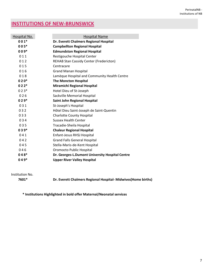# **INSTITUTIONS OF NEW-BRUNSWICK**

| Hospital No. | <b>Hospital Name</b>                            |
|--------------|-------------------------------------------------|
| $001*$       | Dr. Everett Chalmers Regional Hospital          |
| $005*$       | <b>Campbellton Regional Hospital</b>            |
| $009*$       | <b>Edmundston Regional Hospital</b>             |
| 011          | Restigouche Hospital Center                     |
| 012          | <b>REHAB Stan Cassidy Center (Fredericton)</b>  |
| 015          | Centracare                                      |
| 016          | <b>Grand Manan Hospital</b>                     |
| 018          | Lamèque Hospital and Community Health Centre    |
| $020*$       | <b>The Moncton Hospital</b>                     |
| $022*$       | <b>Miramichi Regional Hospital</b>              |
| $023*$       | Hotel Dieu of St-Joseph                         |
| 026          | Sackville Memorial Hospital                     |
| $029*$       | <b>Saint John Regional Hospital</b>             |
| 031          | St-Joseph's Hospital                            |
| 032          | Hôtel Dieu Saint-Joseph de Saint-Quentin        |
| 033          | <b>Charlotte County Hospital</b>                |
| 034          | <b>Sussex Health Center</b>                     |
| 035          | Tracadie-Sheila Hospital                        |
| $039*$       | <b>Chaleur Regional Hospital</b>                |
| 041          | Enfant-Jesus RHSJ Hospital                      |
| 042          | <b>Grand Falls General Hospital</b>             |
| 045          | Stella-Maris-de-Kent Hospital                   |
| 046          | Oromocto Public Hospital                        |
| $048*$       | Dr. Georges-L.Dumont University Hospital Centre |
| $049*$       | <b>Upper River Valley Hospital</b>              |

Institution No.

**7601\* Dr. Everett Chalmers Regional Hospital- Midwives(Home births)**

**\* Institutions Highlighted in bold offer Maternal/Neonatal services**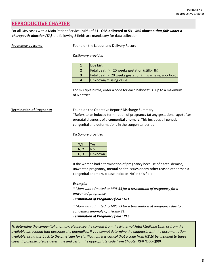# **REPRODUCTIVE CHAPTER**

For all OBS cases with a Main Patient Service (MPS) of **51 - OBS delivered or 53 - OBS aborted** *that falls under a therapeutic abortion (TA)* the following 3 fields are mandatory for data collection.

**Pregnancy outcome Found on the Labour and Delivery Record** 

## *Dictionary provided*

| Live birth                                               |
|----------------------------------------------------------|
| Fetal death >= 20 weeks gestation (stillbirth)           |
| Fetal death < 20 weeks gestation (miscarriage, abortion) |
| Unknown/missing value                                    |

For multiple births, enter a code for each baby/fetus. Up to a maximum of 6 entries.

**Termination of Pregnancy** Found on the Operative Report/ Discharge Summary \*Refers to an induced termination of pregnancy (at any gestational age) after prenatal diagnosis of a **congenital anomaly**. This includes all genetic, congenital and deformations in the congenital period.

## *Dictionary provided*

|        | Yes            |
|--------|----------------|
| N, 2   | No             |
| 3<br>U | <b>Unknown</b> |

If the woman had a termination of pregnancy because of a fetal demise, unwanted pregnancy, mental health issues or any other reason other than a congenital anomaly, please indicate 'No' in this field.

# *Example:*

*\* Mom was admitted to MPS 53 for a termination of pregnancy for a unwanted pregnancy.*

## *Termination of Pregnancy field : NO*

*\* Mom was admitted to MPS 53 for a termination of pregnancy due to a congenital anomaly of trisomy 21. Termination of Pregnancy field : YES*

*To determine the congenital anomaly, please see the consult from the Maternal Fetal Medicine Unit, or from the available ultrasound that describes the anomalies. If you cannot determine the diagnosis with the documentation available, bring this back to the physician for clarification. It is critical that a code from ICD10 be assigned to these cases. If possible, please determine and assign the appropriate code from Chapter XVII (Q00-Q99).*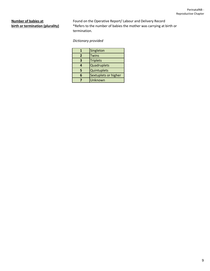**Number of babies at** Found on the Operative Report/ Labour and Delivery Record **birth or termination (plurality)** \* Refers to the number of babies the mother was carrying at birth or termination.

*Dictionary provided*

|   | Singleton            |  |
|---|----------------------|--|
| 2 | <b>Twins</b>         |  |
| 3 | <b>Triplets</b>      |  |
| 4 | Quadruplets          |  |
| 5 | Quintuplets          |  |
| 6 | Sextuplets or higher |  |
|   | Unknown              |  |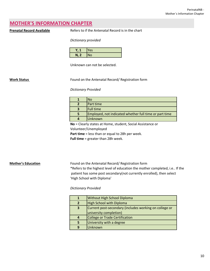# **MOTHER'S INFORMATION CHAPTER**

**Prenatal Record Available** Refers to if the Antenatal Record is in the chart

### *Dictionary provided*

|    | Yes       |
|----|-----------|
| N, | <b>No</b> |

Unknown can not be selected.

**Work Status** Found on the Antenatal Record/ Registration form

### *Dictionary Provided*

| Nο                                                     |
|--------------------------------------------------------|
| Part time                                              |
| <b>Full time</b>                                       |
| Employed, not indicated whether full time or part time |
| Unknown                                                |

**No** = Clearly states at Home, student, Social Assistance or Volunteer/Unemployed

Part time = less than or equal to 28h per week.

**Full time** = greater than 28h week.

**Mother's Education** Found on the Antenatal Record/ Registration form

\*Refers to the highest level of education the mother completed, i.e.. If the patient has some post secondary(not currently enrolled), then select 'High School with Diploma'

## *Dictionary Provided*

|              | <b>Without High School Diploma</b>                     |
|--------------|--------------------------------------------------------|
|              | <b>High School with Diploma</b>                        |
| $\mathbf{3}$ | Current post-secondary (includes working on college or |
|              | university completion)                                 |
|              | College or Trade Certification                         |
|              | University with a degree                               |
|              | Unknown                                                |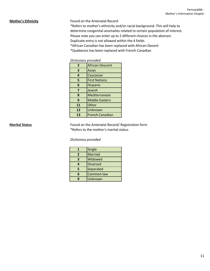**Mother's Ethnicity Found on the Antenatal Record** 

\*Refers to mother's ethnicity and/or racial background. This will help to determine congenital anomalies related to certain population of interest.

Please note you can enter up to 2 different choices in the abstract.

Duplicate entry is not allowed within the 4 fields.

\*African Canadian has been replaced with African-Decent

\*Quebecois has been replaced with French Canadian

| $\overline{2}$ | African-Descent        |  |
|----------------|------------------------|--|
| 3              | Asian                  |  |
| 4              | Caucasian              |  |
| 5              | <b>First Nations</b>   |  |
| 6              | Hispanic               |  |
| 7              | Jewish                 |  |
| 8              | Mediterranean          |  |
| 9              | <b>Middle Eastern</b>  |  |
| 11             | Other                  |  |
| 12             | Unknown                |  |
| 13             | <b>French Canadian</b> |  |

**Marital Status Marital Status Found on the Antenatal Record/ Registration form** \*Refers to the mother's marital status

*Dictionary provided*

|   | Single            |  |
|---|-------------------|--|
| 2 | Married           |  |
| 3 | Widowed           |  |
| 4 | <b>Divorced</b>   |  |
| 5 | Separated         |  |
| հ | <b>Common law</b> |  |
| q | Unknown           |  |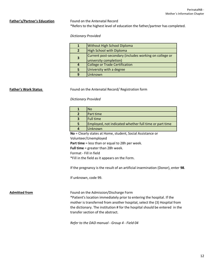Father's/Partner's Education Found on the Antenatal Record \*Refers to the highest level of education the father/partner has completed.

## *Dictionary Provided*

|              | <b>Without High School Diploma</b>                                               |
|--------------|----------------------------------------------------------------------------------|
|              | <b>High School with Diploma</b>                                                  |
| $\mathbf{3}$ | Current post-secondary (includes working on college or<br>university completion) |
|              | College or Trade Certification                                                   |
| 5            | University with a degree                                                         |
| q            | Unknown                                                                          |

**Father's Work Status Found on the Antenatal Record/ Registration form** 

*Dictionary Provided* 

| N٥                                                     |
|--------------------------------------------------------|
| Part time                                              |
| <b>Full time</b>                                       |
| Employed, not indicated whether full time or part time |
| Unknown                                                |

**No** = Clearly states at Home, student, Social Assistance or

Volunteer/Unemployed

**Part time** = less than or equal to 28h per week.

**Full time** = greater than 28h week.

Format - Fill in field

\*Fill in the field as it appears on the Form.

If the pregnancy is the result of an artificial insemination (Donor), enter **98**.

If unknown, code 99.

Admitted from **Admitted from** Found on the Admission/Discharge Form

\*Patient's location immediately prior to entering the hospital. If the mother is transferred from another hospital, select the (3) Hospital from the dictionary. The institution # for the hospital should be entered in the transfer section of the abstract.

*Refer to the DAD manual - Group 4 - Field 04*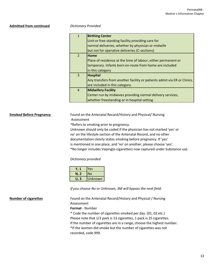## **Admitted from continued** *Dictionary Provided*

| $\mathbf{1}$   | <b>Birthing Center</b>                                                   |
|----------------|--------------------------------------------------------------------------|
|                | Unit or free-standing facility providing care for                        |
|                | normal deliveries, whether by physician or midwife                       |
|                | but not for operative deliveries (C-sections)                            |
| $\overline{2}$ | Home                                                                     |
|                | Place of residence at the time of labour, either permanent or            |
|                | temporary. Infants born en-route from home are included                  |
|                | in this category                                                         |
| $\overline{3}$ | <b>Hospital</b>                                                          |
|                | Any transfers from another facility or patients admit via ER or Clinics. |
|                | are included in this category.                                           |
| $\overline{4}$ | <b>Midwifery Facility</b>                                                |
|                | Center run by midwives providing normal delivery services,               |
|                | whether freestanding or in hospital setting                              |

**Smoked Before Pregnancy** Found on the Antenatal Record/History and Physical/ Nursing Assessment

\*Refers to smoking prior to pregnancy.

Unknown should only be coded if the physician has not marked 'yes' or no' on the lifestyle section of the Antenatal Record, and no other documentation clearly states smoking before pregnancy. If 'yes' is mentioned in one place, and 'no' on another, please choose 'yes'. \*No longer includes Vaping(e-cigarettes) now captured under Substance use.

## *Dictionary provided*

|         | Yes            |
|---------|----------------|
| N, 2    | lΝo            |
| 3<br>U. | <b>Unknown</b> |

*If you choose No or Unknown, 3M will bypass the next field.*

# **Number of cigarettes** Found on the Antenatal Record/History and Physical / Nursing Assessment **Format** - Number \* Code the number of cigarettes smoked per day. (01, 02 etc.) Please note that 1/2 pack is 13 cigarettes, 1 pack is 25 cigarettes. If the number of cigarettes are in a range, choose the highest number. \*If the women did smoke but the number of cigarettes was not recorded, code 999.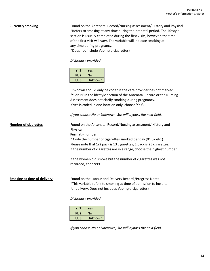**Currently smoking** Found on the Antenatal Record/Nursing assessment/ History and Physical \*Refers to smoking at any time during the prenatal period. The lifestyle section is usually completed during the first visits, however, the time of the first visit will vary. The variable will indicate smoking at any time during pregnancy. \*Does not include Vaping(e-cigarettes)

*Dictionary provided*

|      | Yes     |
|------|---------|
| N, 2 | No      |
| U. 3 | Unknown |

Unknown should only be coded if the care provider has not marked 'Y' or 'N' in the lifestyle section of the Antenatal Record or the Nursing Assessment does not clarify smoking during pregnancy. If yes is coded in one location only, choose 'Yes'.

*If you choose No or Unknown, 3M will bypass the next field.*

| <b>Number of cigarettes</b>        | Found on the Antenatal Record/Nursing assessment/ History and<br>Physical<br><b>Format</b> - number                                                                                    |  |  |
|------------------------------------|----------------------------------------------------------------------------------------------------------------------------------------------------------------------------------------|--|--|
|                                    |                                                                                                                                                                                        |  |  |
|                                    | * Code the number of cigarettes smoked per day (01,02 etc.)<br>Please note that 1/2 pack is 13 cigarettes, 1 pack is 25 cigarettes.                                                    |  |  |
|                                    | If the number of cigarettes are in a range, choose the highest number.                                                                                                                 |  |  |
|                                    | If the women did smoke but the number of cigarettes was not<br>recorded, code 999.                                                                                                     |  |  |
| <b>Smoking at time of delivery</b> | Found on the Labour and Delivery Record / Progress Notes<br>*This variable refers to smoking at time of admission to hospital<br>for delivery. Does not includes Vaping (e-cigarettes) |  |  |
|                                    | Dictionary provided                                                                                                                                                                    |  |  |
|                                    | Yes<br>Y, 1<br>N, 2<br><b>No</b>                                                                                                                                                       |  |  |

**U, 3** Unknown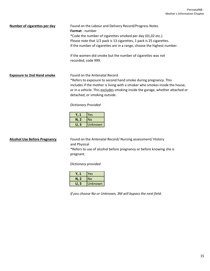### **Number of cigarettes per day** Found on the Labour and Delivery Record/Progress Notes

**Format** - number \*Code the number of cigarettes smoked per day (01,02 etc.). Please note that 1/2 pack is 13 cigarettes, 1 pack is 25 cigarettes. If the number of cigarettes are in a range, choose the highest number.

If the women did smoke but the number of cigarettes was not recorded, code 999.

# **Exposure to 2nd Hand smoke** Found on the Antenatal Record

\*Refers to exposure to second hand smoke during pregnancy. This includes if the mother is living with a smoker who smokes inside the house, or in a vehicle. This excludes smoking inside the garage, whether attached or detached, or smoking outside.

*Dictionary Provided*

| $\sqrt{1}$ | Yes     |
|------------|---------|
| N, 2       | lNo     |
| U. 3       | Unknown |

**Alcohol Use Before Pregnancy** Found on the Antenatal Record/ Nursing assessment/ History and Physical

> \*Refers to use of alcohol before pregnancy or before knowing she is pregnant.

# *Dictionary provided*

|      | Yes     |
|------|---------|
| N, 2 | No      |
| U. 3 | Unknown |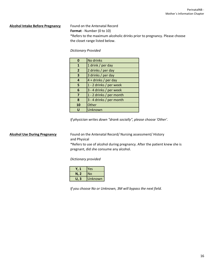## **Alcohol Intake Before Pregnancy** Found on the Antenatal Record

**Format** - Number (0 to 10) \*Refers to the maximum alcoholic drinks prior to pregnancy. Please choose the closet range listed below.

# *Dictionary Provided*

|                | No drinks                |  |
|----------------|--------------------------|--|
| 1              | 1 drink / per day        |  |
| $\overline{2}$ | 2 drinks / per day       |  |
| 3              | 3 drinks / per day       |  |
| 4              | 4 + drinks / per day     |  |
| 5              | 1 - 2 drinks / per week  |  |
| 6              | 3 - 4 drinks / per week  |  |
| 7              | 1 - 2 drinks / per month |  |
| 8              | 3 - 4 drinks / per month |  |
| 10             | Other                    |  |
|                | Unknown                  |  |

*If physician writes down "drank socially", please choose 'Other'.*

**Alcohol Use During Pregnancy** Found on the Antenatal Record/ Nursing assessment/ History and Physical

> \*Refers to use of alcohol during pregnancy. After the patient knew she is pregnant, did she consume any alcohol.

## *Dictionary provided*

|                   | Yes            |
|-------------------|----------------|
| N, 2              | No             |
| $\mathbf{3}$<br>U | <b>Unknown</b> |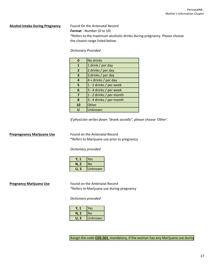## **Alcohol Intake During Pregnancy** Found On the Antenatal Record

**Format** - Number (0 to 10) \*Refers to the maximum alcoholic drinks during pregnancy. Please choose the closest range listed below.

# *Dictionary Provided*

|                | No drinks                |  |
|----------------|--------------------------|--|
| 1              | 1 drink / per day        |  |
| $\overline{2}$ | 2 drinks / per day       |  |
| 3              | 3 drinks / per day       |  |
| 4              | 4 + drinks / per day     |  |
| 5              | 1 - 2 drinks / per week  |  |
| 6              | 3 - 4 drinks / per week  |  |
| 7              | 1 - 2 drinks / per month |  |
| 8              | 3 - 4 drinks / per month |  |
| 10             | Other                    |  |
|                | Unknown                  |  |

*If physician writes down "drank socially", please choose 'Other'.*

# **Prepregnancy Marijuana Use** Found on the Antenatal Record

\*Refers to Marijuana use prior to pregnancy

*Dictionary provided*

|      | Yes     |
|------|---------|
| N. 2 | No      |
| U. 3 | Unknown |

**Pregnancy Marijuana Use** Found on the Antenatal Record \*Refers to Marijuana use during pregnancy

*Dictionary provided*

|      | <b>Yes</b> |
|------|------------|
| N, 2 | <b>No</b>  |
| U. 3 | Unknown    |

Assign the code **035.501**, mandatory, if the woman has any Marijuana use during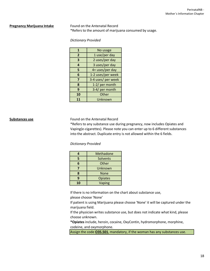**Pregnancy Marijuana Intake** Found on the Antenatal Record \*Refers to the amount of marijuana consumed by usage.

## *Dictionary Provided*

| $\mathbf{1}$   | No usage           |
|----------------|--------------------|
| $\overline{2}$ | 1 use/per day      |
| 3              | 2 uses/per day     |
| 4              | 3 uses/per day     |
| 5              | 4+ uses/per day    |
| 6              | 1-2 uses/per week  |
| 7              | 3-4 uses/ per week |
| 8              | 1-2/ per month     |
| 9              | 3-4/ per month     |
| 10             | Other              |
| 11             | Unknown            |

**Substances use** Found on the Antenatal Record

\*Refers to any substance use during pregnancy, now includes Opiates and Vaping(e-cigarettes). Please note you can enter up to 6 different substances into the abstract. Duplicate entry is not allowed within the 6 fields.

### *Dictionary Provided*

| 4  | Methadone      |
|----|----------------|
| 5  | Solvents       |
| 6  | Other          |
|    | Unknown        |
| 8  | <b>None</b>    |
| 9  | <b>Opiates</b> |
| 10 | Vaping         |

If there is no information on the chart about substance use,

please choose 'None'

If patient is using Marijuana please choose 'None' it will be captured under the marijuana field.

If the physician writes substance use, but does not indicate what kind, please choose unknown.

**\*Opiates** include, heroin, cocaine, OxyContin, hydromorphone, morphine, codeine, and oxymorphone.

Assign the code **O35.501**, mandatory, if the woman has any substances use.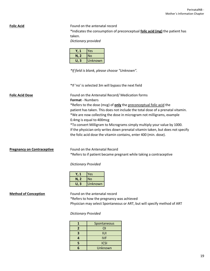**Folic Acid** Found on the antenatal record \*Indicates the consumption of preconceptual **folic acid (mg)** the patient has taken.

*Dictionary provided*

|      | Yes     |
|------|---------|
| N, 2 | INo     |
| U. 3 | Unknown |

*\*If field is blank, please choose "Unknown".*

\*If 'no' is selected 3m will bypass the next field

**Folic Acid Dose** Found on the Antenatal Record/ Medication forms **Format** - Numbers \*Refers to the dose (mcg) of **only** the preconceptual folic acid the patient has taken. This does not include the total dose of a prenatal vitamin. \*We are now collecting the dose in microgram not milligrams, example 0.4mg is equal to 400mcg \*To convert Milligram to Micrograms simply multiply your value by 1000. If the physician only writes down prenatal vitamin taken, but does not specify the folic acid dose the vitamin contains, enter 400 (min. dose).

**Pregnancy on Contraceptive** Found on the Antenatal Record

\*Refers to if patient became pregnant while taking a contraceptive

*Dictionary Provided*

|         | Yes     |
|---------|---------|
| N, 2    | No      |
| -3<br>U | Unknown |

# **Method of Conception**

\*Refers to how the pregnancy was achieved Physician may select Spontaneous or ART, but will specify method of ART Found on the antenatal record

*Dictionary Provided*

| 1 | Spontaneous |
|---|-------------|
| 2 | ΟI          |
| 3 | וטו         |
| 4 | <b>IVF</b>  |
| 5 | <b>ICSI</b> |
| F | Unknown     |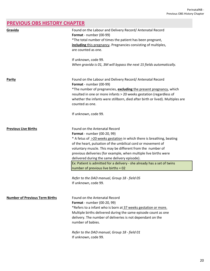# PerinatalNB - Previous OBS History Chapter

# **PREVIOUS OBS HISTORY CHAPTER**

| Gravida                               | Found on the Labour and Delivery Record/ Antenatal Record<br>Format - number (00-99)<br>*The total number of times the patient has been pregnant,<br>including this pregnancy. Pregnancies consisting of multiples,<br>are counted as one.                                                                                                                                                                                                                                                                       |
|---------------------------------------|------------------------------------------------------------------------------------------------------------------------------------------------------------------------------------------------------------------------------------------------------------------------------------------------------------------------------------------------------------------------------------------------------------------------------------------------------------------------------------------------------------------|
|                                       | If unknown, code 99.<br>When gravida is 01, 3M will bypass the next 15 fields automatically.                                                                                                                                                                                                                                                                                                                                                                                                                     |
| <b>Parity</b>                         | Found on the Labour and Delivery Record/ Antenatal Record<br>Format - number (00-99)<br>*The number of pregnancies, excluding the present pregnancy, which<br>resulted in one or more infants > 20 weeks gestation (regardless of<br>whether the infants were stillborn, died after birth or lived). Multiples are<br>counted as one.                                                                                                                                                                            |
|                                       | If unknown, code 99.                                                                                                                                                                                                                                                                                                                                                                                                                                                                                             |
| <b>Previous Live Births</b>           | Found on the Antenatal Record<br><b>Format</b> - number (00-20, 99)<br>* A fetus of >20 weeks gestation in which there is breathing, beating<br>of the heart, pulsation of the umbilical cord or movement of<br>voluntary muscle. This may be different from the number of<br>previous deliveries (for example, when multiple live births were<br>delivered during the same delivery episode).<br>Ex: Patient is admitted for a delivery - she already has a set of twins<br>number of previous live births = 02 |
|                                       | Refer to the DAD manual, Group 18 - field 05<br>If unknown, code 99.                                                                                                                                                                                                                                                                                                                                                                                                                                             |
| <b>Number of Previous Term Births</b> | Found on the Antenatal Record<br><b>Format</b> - number (00-20, 99)<br>*Refers to a infant who is born at 37 weeks gestation or more.<br>Multiple births delivered during the same episode count as one<br>delivery. The number of deliveries is not dependant on the<br>number of babies.                                                                                                                                                                                                                       |
|                                       | Refer to the DAD manual, Group 18 - field 01<br>If unknown, code 99.                                                                                                                                                                                                                                                                                                                                                                                                                                             |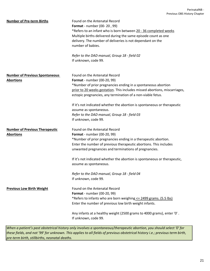| <b>Number of Pre-term Births</b>      | Found on the Antenatal Record                                              |
|---------------------------------------|----------------------------------------------------------------------------|
|                                       | <b>Format</b> - number (00-20, 99)                                         |
|                                       | *Refers to an infant who is born between 20 - 36 completed weeks           |
|                                       | Multiple births delivered during the same episode count as one             |
|                                       | delivery. The number of deliveries is not dependant on the                 |
|                                       | number of babies.                                                          |
|                                       |                                                                            |
|                                       | Refer to the DAD manual, Group 18 - field 02                               |
|                                       | If unknown, code 99.                                                       |
|                                       |                                                                            |
| <b>Number of Previous Spontaneous</b> | Found on the Antenatal Record                                              |
| <b>Abortions</b>                      | <b>Format</b> - number (00-20, 99)                                         |
|                                       | *Number of prior pregnancies ending in a spontaneous abortion              |
|                                       | prior to 20 weeks gestation. This includes missed abortions, miscarriages, |
|                                       | ectopic pregnancies, any termination of a non-viable fetus.                |
|                                       | If it's not indicated whether the abortion is spontaneous or therapeutic   |
|                                       | assume as spontaneous.                                                     |
|                                       | Refer to the DAD manual, Group 18 - field 03                               |
|                                       | If unknown, code 99.                                                       |
|                                       |                                                                            |
| <b>Number of Previous Therapeutic</b> | Found on the Antenatal Record                                              |
| <b>Abortions</b>                      | <b>Format</b> - number (00-20, 99)                                         |
|                                       | *Number of prior pregnancies ending in a therapeutic abortion.             |
|                                       | Enter the number of previous therapeutic abortions. This includes          |
|                                       | unwanted pregnancies and terminations of pregnancies.                      |
|                                       | If it's not indicated whether the abortion is spontaneous or therapeutic,  |
|                                       | assume as spontaneous.                                                     |
|                                       | Refer to the DAD manual, Group 18 - field 04                               |
|                                       | If unknown, code 99.                                                       |
|                                       |                                                                            |
| <b>Previous Low Birth Weight</b>      | Found on the Antenatal Record                                              |
|                                       | <b>Format</b> - number (00-20, 99)                                         |
|                                       | *Refers to infants who are born weighing <= 2499 grams. (5.5 lbs)          |
|                                       | Enter the number of previous low birth weight infants.                     |
|                                       | Any infants at a healthy weight (2500 grams to 4000 grams), enter '0'.     |
|                                       | If unknown, code 99.                                                       |
|                                       |                                                                            |

*When a patient's past obstetrical history only involves a spontaneous/therapeutic abortion, you should select '0' for these fields, and not '99' for unknown. This applies to all fields of previous obstetrical history i.e.; previous term birth, pre-term birth, stillbirths, neonatal deaths.*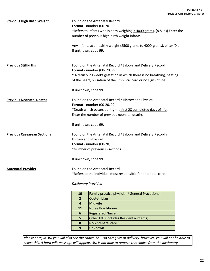| <b>Previous High Birth Weight</b>  | Found on the Antenatal Record<br>Format - number (00-20, 99)<br>*Refers to infants who is born weighing > 4000 grams. (8.8 lbs) Enter the<br>number of previous high birth weight infants.                                                |  |
|------------------------------------|-------------------------------------------------------------------------------------------------------------------------------------------------------------------------------------------------------------------------------------------|--|
|                                    | Any infants at a healthy weight (2500 grams to 4000 grams), enter '0'.<br>If unknown, code 99.                                                                                                                                            |  |
| <b>Previous Stillbirths</b>        | Found on the Antenatal Record / Labour and Delivery Record<br>Format - number (00-20, 99)<br>* A fetus > 20 weeks gestation in which there is no breathing, beating<br>of the heart, pulsation of the umbilical cord or no signs of life. |  |
|                                    | If unknown, code 99.                                                                                                                                                                                                                      |  |
| <b>Previous Neonatal Deaths</b>    | Found on the Antenatal Record / History and Physical<br>Format - number (00-20, 99)<br>*Death which occurs during the first 28 completed days of life.<br>Enter the number of previous neonatal deaths.                                   |  |
|                                    | If unknown, code 99.                                                                                                                                                                                                                      |  |
| <b>Previous Caesarean Sections</b> | Found on the Antenatal Record / Labour and Delivery Record /<br><b>History and Physical</b><br>Format - number (00-20, 99)<br>*Number of previous C-sections.                                                                             |  |
|                                    | If unknown, code 99.                                                                                                                                                                                                                      |  |
| <b>Antenatal Provider</b>          | Found on the Antenatal Record<br>*Refers to the individual most responsible for antenatal care.                                                                                                                                           |  |
|                                    | <b>Dictionary Provided</b>                                                                                                                                                                                                                |  |
|                                    | 10 <sub>1</sub><br>Eamily practice physician/ General Practitioner                                                                                                                                                                        |  |

| 10             | Family practice physician/ General Practitioner |
|----------------|-------------------------------------------------|
| $\overline{2}$ | Obstetrician                                    |
|                | Midwife                                         |
| 11             | <b>Nurse Practitioner</b>                       |
| 6              | <b>Registered Nurse</b>                         |
| 5              | Other MD (Includes Residents/interns)           |
| 8              | No Antenatal care                               |
| 9              | Unknown                                         |

*Please note, in 3M you will also see the choice 12 – No caregiver at delivery, however, you will not be able to select this. A hard edit message will appear. 3M is not able to remove this choice from the dictionary.*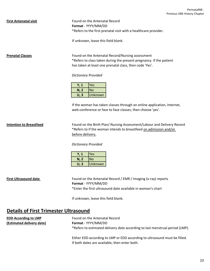**First Antenatal visit** Found on the Antenatal Record **Format** - YYYY/MM/DD \*Refers to the first prenatal visit with a healthcare provider.

If unknown, leave this field blank.

**Prenatal Classes** Found on the Antenatal Record/Nursing assessment \*Refers to class taken during the present pregnancy. If the patient has taken at least one prenatal class, then code 'Yes'.

## *Dictionary Provided*

|          | Yes       |
|----------|-----------|
| N, 2     | <b>No</b> |
| . 3<br>U | Unknown   |

If the woman has taken classes through an online application, internet, web-conference or face to face classes, then choose 'yes'.

**Intention to Breastfeed** Found on the Birth Plan/ Nursing Assessment/Labour and Delivery Record \*Refers to if the woman intends to breastfeed on admission and/or before delivery.

*Dictionary Provided*

| Y. 1 | Yes     |
|------|---------|
| N, 2 | lNo     |
| U. 3 | Unknown |

**First Ultrasound date First Ultrasound date Found on the Antenatal Record / EMR / Imaging (x-ray) reports Format** - YYYY/MM/DD \*Enter the first ultrasound date available in woman's chart

If unknown, leave this field blank.

# **Details of First Trimester Ultrasound**

| <b>EDD According to LMP</b> | Found on the Antenatal Record                                                |
|-----------------------------|------------------------------------------------------------------------------|
| (Estimated delivery date)   | <b>Format</b> - YYYY/MM/DD                                                   |
|                             | *Refers to estimated delivery date according to last menstrual period (LMP). |

Either EDD according to LMP or EDD according to ultrasound must be filled. If both dates are available, then enter both.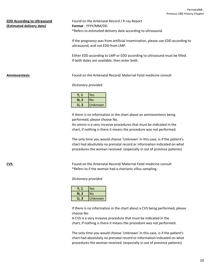# **(Estimated delivery date) Format** - YYYY/MM/DD

**EDD According to Ultrasound** Found on the Antenatal Record / X-ray Report \*Refers to estimated delivery date according to ultrasound.

> If the pregnancy was from artificial insemination, please use EDD according to ultrasound, and not EDD from LMP.

Either EDD according to LMP or EDD according to ultrasound must be filled. If both dates are available, then enter both.

**Amniocentesis** Found on the Antenatal Record/ Maternal Fetal medicine consult

## *Dictionary provided*

|      | <b>Yes</b> |
|------|------------|
| N, 2 | <b>No</b>  |
| U. 3 | Unknown    |

performed, please choose No. If there is no information in the chart about an amniocentesis being

An amnio is a very invasive procedures that must be indicated in the chart, if nothing is there it means the procedure was not performed.

The only time you would choose 'Unknown' in this case, is if the patient's chart had absolutely no prenatal record or information indicated on what procedures the woman received. (especially in out of province patients)

**CVS** Found on the Antenatal Record/ Maternal Fetal medicine consult \*Refers to if the woman had a chorionic villus sampling.

*Dictionary provided*

|      | Yes     |
|------|---------|
| N, 2 | No      |
| 3    | Unknown |

choose No. If there is no information in the chart about a CVS being performed, please

A CVS is a very invasive procedure that must be indicated in the chart, if nothing is there it means the procedure was not performed.

The only time you would choose 'Unknown' in this case, is if the patient's chart had absolutely no prenatal record or information indicated on what procedures the woman received. (especially in out of province patients)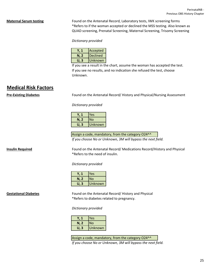**Maternal Serum testing** Found on the Antenatal Record, Laboratory tests, IWK screening forms \*Refers to if the woman accepted or declined the MSS testing. Also known as QUAD screening, Prenatal Screening, Maternal Screening, Trisomy Screening

*Dictionary provided*

| Y. 1 | Accepted        |
|------|-----------------|
| N, 2 | <b>Declined</b> |
| U. 3 | Unknown         |

If you see no results, and no indication she refused the test, choose Unknown. If you see a result in the chart, assume the woman has accepted the test.

# **Medical Risk Factors**

**Pre-Existing Diabetes** Found on the Antenatal Record/ History and Physical/Nursing Assessment

*Dictionary provided*

|      | Yes       |
|------|-----------|
| N, 2 | <b>No</b> |
| U. 3 | Unknown   |

Assign a code, mandatory, from the category O24^^

*If you choose No or Unknown, 3M will bypass the next field.*

**Insulin Required** Found on the Antenatal Record/ Medications Record/History and Physical \*Refers to the need of insulin.

## *Dictionary provided*

|         | Yes     |
|---------|---------|
| N, 2    | No      |
| -3<br>U | Unknown |

**Gestational Diabetes** Found on the Antenatal Record/ History and Physical \*Refers to diabetes related to pregnancy.

*Dictionary provided*

|           | Yes            |
|-----------|----------------|
| N, 2      | No             |
| . 3<br>U. | <b>Unknown</b> |

Assign a code, mandatory, from the category O24^^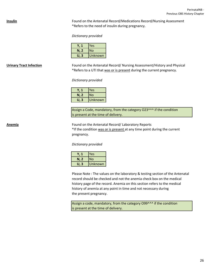**Insulin Insulin Example 2** Found on the Antenatal Record/Medications Record/Nursing Assessment \*Refers to the need of insulin during pregnancy.

*Dictionary provided*

|      | Yes     |
|------|---------|
| N, 2 | l No    |
| U. 3 | Unknown |

**Urinary Tract Infection** Found on the Antenatal Record/ Nursing Assessment/History and Physical \*Refers to a UTI that was or is present during the current pregnancy.

*Dictionary provided*

|      | Yes     |
|------|---------|
| N, 2 | No      |
| U. 3 | Unknown |

Assign a Code, mandatory, from the category O23^^^ if the condition is present at the time of delivery.

**Anemia** Found on the Antenatal Record/ Laboratory Reports \*If the condition was or is present at any time point during the current pregnancy.

*Dictionary provided*

|      | Yes            |
|------|----------------|
| N, 2 | <b>No</b>      |
| U. 3 | <b>Unknown</b> |

Please Note : The values on the laboratory & testing section of the Antenatal record should be checked and not the anemia check box on the medical history page of the record. Anemia on this section refers to the medical history of anemia at any point in time and not necessary during the present pregnancy.

Assign a code, mandatory, from the category O99^^^ if the condition is present at the time of delivery.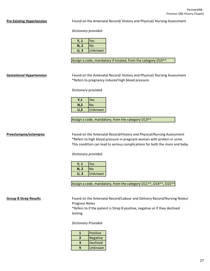**Pre-Existing Hypertension** Found on the Antenatal Record/ History and Physical/ Nursing Assessment

### *Dictionary provided*

|                   | Yes     |
|-------------------|---------|
| N, 2              | No      |
| $\mathbf{B}$<br>U | Unknown |

Assign a code, mandatory if treated, from the category O10^^

**Gestational Hypertension** Found on the Antenatal Record/ History and Physical/ Nursing Assessment \*Refers to pregnancy induced high blood pressure.

Dictionary provided

|     | Yes     |
|-----|---------|
| N,2 | No      |
| U.3 | Unknown |

Assign a code, mandatory, from the category O13^^

**Preeclampsia/eclampsia** Found on the Antenatal Record/History and Physical/Nursing Assessment \*Refers to high blood pressure in pregnant woman with protein in urine. This condition can lead to serious complications for both the mom and baby.

*Dictionary provided*

| Yes     |
|---------|
| No      |
| Unknown |
|         |

Assign a code, mandatory, from the category O11^^, O14^^, O15^^

**Group B Strep Results** Found on the Antenatal Record/Labour and Delivery Record/Nursing Notes/ Progress Notes

> \*Refers to if the patient is Strep B positive, negative or if they declined testing

*Dictionary Provided*

|   | Positive        |
|---|-----------------|
| 2 | Negative        |
| R | <b>Declined</b> |
| ٩ | Unknown         |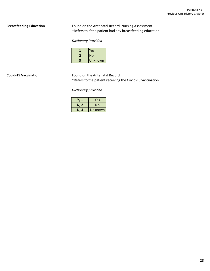**Breastfeeding Education** Found on the Antenatal Record, Nursing Assessment \*Refers to if the patient had any breastfeeding education

# *Dictionary Provided*

| Yes            |
|----------------|
| No             |
| <b>Unknown</b> |

**Covid-19 Vaccination** Found on the Antenatal Record \*Refers to the patient receiving the Covid-19 vaccination.

*Dictionary provided*

|         | Yes     |
|---------|---------|
| N, 2    | No      |
| 3<br>U. | Unknown |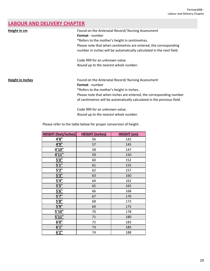# **LABOUR AND DELIVERY CHAPTER**

| Height in cm            | Found on the Antenatal Record/ Nursing Assessment<br><b>Format</b> - number                                                              |
|-------------------------|------------------------------------------------------------------------------------------------------------------------------------------|
|                         | *Refers to the mother's height in centimetres.                                                                                           |
|                         | Please note that when centimetres are entered, the corresponding<br>number in inches will be automatically calculated in the next field. |
|                         |                                                                                                                                          |
|                         | Code 999 for an unknown value.                                                                                                           |
|                         | Round up to the nearest whole number.                                                                                                    |
| <b>Height in Inches</b> | Found on the Antenatal Record/ Nursing Assessment                                                                                        |
|                         | <b>Format</b> - number                                                                                                                   |
|                         | *Refers to the mother's height in inches.                                                                                                |
|                         | Please note that when inches are entered, the corresponding number                                                                       |
|                         | of centimetres will be automatically calculated in the previous field.                                                                   |
|                         | Code 999 for an unknown value.                                                                                                           |
|                         | Round up to the nearest whole number.                                                                                                    |

Please refer to the table below for proper conversion of height.

| <b>HEIGHT (feet/inches)</b> | <b>HEIGHT</b> (inches) | <b>HEIGHT</b> (cm) |
|-----------------------------|------------------------|--------------------|
| 4'8"                        | 56                     | 142                |
| 4'9''                       | 57                     | 145                |
| 4'10''                      | 58                     | 147                |
| 4'11''                      | 59                     | 150                |
| <u>5'0"</u>                 | 60                     | 152                |
| 5'1''                       | 61                     | 155                |
| 5'2''                       | 62                     | 157                |
| 5'3''                       | 63                     | 160                |
| 5'4''                       | 64                     | 162                |
| 5'5''                       | 65                     | 165                |
| 5'6''                       | 66                     | 168                |
| 5'7''                       | 67                     | 170                |
| <u>5'8"</u>                 | 68                     | 173                |
| <u>5'9"</u>                 | 69                     | 175                |
| 5'10''                      | 70                     | 178                |
| 5'11"                       | 71                     | 180                |
| 6'0''                       | 72                     | 183                |
| 6'1''                       | 73                     | 185                |
| 6'2''                       | 74                     | 188                |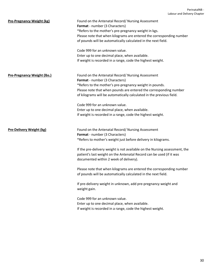| <b>Pre-Pregnancy Weight (kg)</b>   | Found on the Antenatal Record/ Nursing Assessment<br>Format - number (3 Characters)<br>*Refers to the mother's pre-pregnancy weight in kgs.<br>Please note that when kilograms are entered the corresponding number<br>of pounds will be automatically calculated in the next field.<br>Code 999 for an unknown value.<br>Enter up to one decimal place, when available.<br>If weight is recorded in a range, code the highest weight. |
|------------------------------------|----------------------------------------------------------------------------------------------------------------------------------------------------------------------------------------------------------------------------------------------------------------------------------------------------------------------------------------------------------------------------------------------------------------------------------------|
| <b>Pre-Pregnancy Weight (lbs.)</b> | Found on the Antenatal Record/ Nursing Assessment<br>Format - number (3 Characters)<br>*Refers to the mother's pre-pregnancy weight in pounds.<br>Please note that when pounds are entered the corresponding number<br>of kilograms will be automatically calculated in the previous field.                                                                                                                                            |
|                                    | Code 999 for an unknown value.<br>Enter up to one decimal place, when available.<br>If weight is recorded in a range, code the highest weight.                                                                                                                                                                                                                                                                                         |
| <b>Pre-Delivery Weight (kg)</b>    | Found on the Antenatal Record/ Nursing Assessment<br>Format - number (3 Characters)<br>*Refers to mother's weight just before delivery in kilograms.<br>If the pre-delivery weight is not available on the Nursing assessment, the<br>patient's last weight on the Antenatal Record can be used (if it was<br>documented within 2 week of delivery).                                                                                   |
|                                    | Please note that when kilograms are entered the corresponding number<br>of pounds will be automatically calculated in the next field.<br>If pre-delivery weight in unknown, add pre-pregnancy weight and<br>weight gain.                                                                                                                                                                                                               |
|                                    | Code 999 for an unknown value.<br>Enter up to one decimal place, when available.<br>If weight is recorded in a range, code the highest weight.                                                                                                                                                                                                                                                                                         |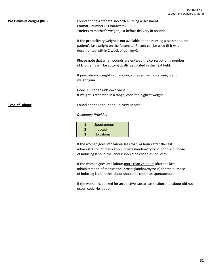# **Pre Delivery Weight (lbs.)** Found on the Antenatal Record/ Nursing Assessment **Format** - number (3 Characters) \*Refers to mother's weight just before delivery in pounds. If the pre-delivery weight is not available on the Nursing assessment, the patient's last weight on the Antenatal Record can be used (if it was documented within 2 week of delivery). Please note that when pounds are entered the corresponding number of kilograms will be automatically calculated in the next field. If pre-delivery weight in unknown, add pre-pregnancy weight and weight gain. Code 999 for an unknown value. If weight is recorded in a range, code the highest weight. **Type of Labour Found on the Labour and Delivery Record** *Dictionary Provided*

| Spontaneous       |
|-------------------|
| <b>Induced</b>    |
| <b>INo Labour</b> |

If the woman goes into labour less than 24 hours after the last administration of medication (prostaglandin/oxytocin) for the purpose of inducing labour, the labour should be coded as induced.

If the woman goes into labour more than 24 hours after the last administration of medication (prostaglandin/oxytocin) for the purpose of inducing labour, the labour should be coded as spontaneous.

If the woman is booked for an elective caesarean section and labour did not occur, code No labour.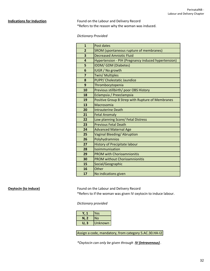**Indications for Induction** Found on the Labour and Delivery Record \*Refers to the reason why the woman was induced.

# *Dictionary Provided*

| $\mathbf{1}$   | Post dates                                          |
|----------------|-----------------------------------------------------|
| $\overline{2}$ | SROM (spontaneous rupture of membranes)             |
| 3              | <b>Decreased Amniotic Fluid</b>                     |
| 4              | Hypertension - PIH (Pregnancy induced hypertension) |
| 5              | IDDM/ GDM (Diabetes)                                |
| 6              | <b>IUGR / No growth</b>                             |
| $\overline{7}$ | <b>Twin/ Multiples</b>                              |
| 8              | <b>PUPP/ Cholestatic Jaundice</b>                   |
| 9              | Thrombocytopenia                                    |
| 10             | Previous stillbirth/ poor OBS History               |
| 18             | Eclampsia / Preeclampsia                            |
| 19             | Positive Group B Strep with Rupture of Membranes    |
| 13             | Macrosomia                                          |
| 20             | <b>Intrauterine Death</b>                           |
| 21             | <b>Fetal Anomaly</b>                                |
| 22             | Low planning Score/ Fetal Distress                  |
| 23             | <b>Previous Fetal Death</b>                         |
| 24             | <b>Advanced Maternal Age</b>                        |
| 25             | Vaginal Bleeding/Abruption                          |
| 26             | Polyhydramnios                                      |
| 27             | <b>History of Precipitate labour</b>                |
| 28             | Isoimmunisation                                     |
| 29             | <b>PROM with Chorioamnionitis</b>                   |
| 30             | <b>PROM without Chorioamnionitis</b>                |
| 15             | Social/Geographic                                   |
| 16             | Other                                               |
| 17             | No indications given                                |

# **Oxytocin (to induce)** Found on the Labour and Delivery Record

\*Refers to if the woman was given IV oxytocin to induce labour.

### *Dictionary provided*

| Y. 1 | lYes      |
|------|-----------|
| N, 2 | <b>No</b> |
| U. 3 | Unknown   |

Assign a code, mandatory, from category 5.AC.30.HA-I2

*\*Oxytocin can only be given through IV (intravenous) .*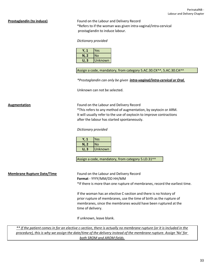**Prostaglandin (to induce)** Found on the Labour and Delivery Record \*Refers to if the woman was given intra-vaginal/intra-cervical prostaglandin to induce labour.

### *Dictionary provided*

|      | Yes     |
|------|---------|
| N, 2 | No      |
| U. 3 | Unknown |

Assign a code, mandatory, from category 5.AC.30.CK^^, 5.AC.30.CA^^

*\*Prostaglandin can only be given intra-vaginal/intra-cervical or Oral.*

Unknown can not be selected.

**Augmentation Found on the Labour and Delivery Record** \*This refers to any method of augmentation, by oxytocin or ARM. It will usually refer to the use of oxytocin to improve contractions after the labour has started spontaneously.

### *Dictionary provided*

|          | lYes      |
|----------|-----------|
| N, 2     | <b>No</b> |
| . 3<br>U | Unknown   |

Assign a code, mandatory, from category 5.LD.31^^

**Membrane Rupture Date/Time** Found on the Labour and Delivery Record **Format** - YYYY/MM/DD HH/MM \*If there is more than one rupture of membranes, record the earliest time.

> If the woman has an elective C-section and there is no history of prior rupture of membranes, use the time of birth as the rupture of membranes, since the membranes would have been ruptured at the time of delivery.

If unknown, leave blank.

*\*\* If the patient comes in for an elective c-section, there is actually no membrane rupture (or it is included in the procedure), this is why we assign the date/time of the delivery instead of the membrane rupture. Assign 'No' for both SROM and AROM fields.*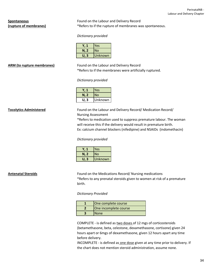**Spontaneous** Found on the Labour and Delivery Record **(rupture of membranes)** \*Refers to if the rupture of membranes was spontaneous.

# *Dictionary provided*

| Y. 1 | Yes     |
|------|---------|
| N, 2 | lNo     |
| U. 3 | Unknown |

**ARM (to rupture membranes)** Found on the Labour and Delivery Record \*Refers to if the membranes were artificially ruptured.

## *Dictionary provided*

|      | Yes     |
|------|---------|
| N, 2 | No      |
| U. 3 | Unknown |

**Tocolytics Administered** Found on the Labour and Delivery Record/ Medication Record/ Nursing Assessment

> \*Refers to medication used to suppress premature labour. The woman will receive this if the delivery would result in premature birth. Ex: calcium channel blockers (nifedipine) and NSAIDs (indomethacin)

## *Dictionary provided*

|      | Yes     |
|------|---------|
| N, 2 | No      |
| U. 3 | Unknown |

**Antenatal Steroids** Found on the Medications Record/ Nursing medications \*Refers to any prenatal steroids given to women at risk of a premature birth.

*Dictionary Provided*

| One complete course   |
|-----------------------|
| One incomplete course |
| <b>None</b>           |

COMPLETE - is defined as two doses of 12 mgs of corticosteroids (betamethasone, beta, celestone, dexamethasone, cortisone) given 24 hours apart or 6mgs of dexamethasone, given 12 hours apart any time before delivery.

INCOMPLETE - is defined as one dose given at any time prior to delivery. If the chart does not mention steroid administration, assume none.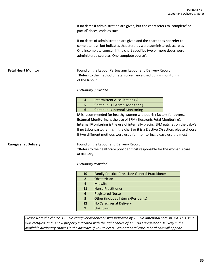If no dates if administration are given, but the chart refers to 'complete' or partial' doses, code as such.

If no dates of administration are given and the chart does not refer to completeness' but indicates that steroids were administered, score as One incomplete course'. If the chart specifies two or more doses were administered score as 'One complete course'.

**Fetal Heart Monitor Found on the Labour Partogram/ Labour and Delivery Record** \*Refers to the method of fetal surveillance used during monitoring of the labour.

## *Dictionary provided*

| <b>Intermittent Auscultation (IA)</b> |
|---------------------------------------|
| <b>Continuous External Monitoring</b> |
| <b>Continuous Internal Monitoring</b> |

**External Monitoring** is the use of EFM (Electronic Fetal Monitoring). **IA** is recommended for healthy women without risk factors for adverse **Internal Monitoring** is the use of internally placing EFM patches on the baby's If no Labor partogram is in the chart or it is a Elective C/section, please choose If two different methods were used for monitoring, please use the most

## **Caregiver at Delivery Found on the Labour and Delivery Record**

\*Refers to the healthcare provider most responsible for the woman's care at delivery.

## *Dictionary Provided*

| 10             | Family Practice Physician/ General Practitioner |
|----------------|-------------------------------------------------|
| $\overline{2}$ | Obstetrician                                    |
| 4              | <b>Midwife</b>                                  |
| 11             | <b>Nurse Practitioner</b>                       |
| 6              | <b>Registered Nurse</b>                         |
| 5              | Other (Includes Interns/Residents)              |
| 12             | No Caregiver at Delivery                        |
| 9              | Unknown                                         |

*Please Note the choice 12 – No caregiver at delivery was indicated by 8 – No antenatal care in 3M. This issue was rectified, and is now properly indicated with the right choice of 12 – No Caregiver at Delivery in the available dictionary choices in the abstract. If you select 8 – No antenatal care, a hard edit will appear.*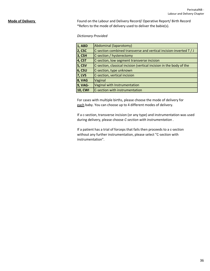**Mode of Delivery** Found on the Labour and Delivery Record/ Operative Report/ Birth Record \*Refers to the mode of delivery used to deliver the babie(s).

*Dictionary Provided*

| <b>1, ABD</b>  | Abdominal (laparotomy)                                              |
|----------------|---------------------------------------------------------------------|
| 2, CSC         | C-section combined transverse and vertical incision-inverted $T/J$  |
| <b>3, CSH</b>  | C-section / hysterectomy                                            |
| <b>4, CST</b>  | C-section, low segment transverse incision                          |
| <b>5, CSV</b>  | C-section, classical incision (vertical incision in the body of the |
| 6, CSU         | C-section, type unknown                                             |
| <b>7, LVS</b>  | C-section, vertical incision                                        |
| <b>8, VAG</b>  | Vaginal                                                             |
| <b>9, VAG-</b> | Vaginal with Instrumentation                                        |
| <b>10, CWI</b> | C-section with instrumentation                                      |

For cases with multiple births, please choose the mode of delivery for each baby. You can choose up to 4 different modes of delivery.

during delivery, please choose *C-section with instrumentation* . If a c-section, transverse incision (or any type) and instrumentation was used

If a patient has a trial of forceps that fails then proceeds to a c-section instrumentation". without any further instrumentation, please select "C-section with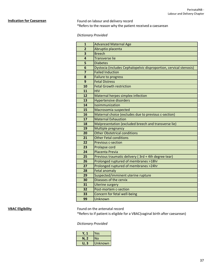**Indication for Caesarean** Found on labour and delivery record \*Refers to the reason why the patient received a caesarean

## *Dictionary Provided*

| $\mathbf{1}$   | <b>Advanced Maternal Age</b>                                       |
|----------------|--------------------------------------------------------------------|
| $\overline{2}$ | Abruptio placenta                                                  |
| 3              | <b>Breech</b>                                                      |
| 4              | <b>Transverse lie</b>                                              |
| 5              | <b>Diabetes</b>                                                    |
| 6              | Dystocia (includes Cephalopelvic disproportion, cervical stenosis) |
|                | <b>Failed Induction</b>                                            |
| 8              | <b>Failure to progress</b>                                         |
| 9              | <b>Fetal Distress</b>                                              |
| 10             | <b>Fetal Growth restriction</b>                                    |
| 11             | <b>HIV</b>                                                         |
| 12             | Maternal herpes simplex infection                                  |
| 13             | <b>Hypertensive disorders</b>                                      |
| 14             | Isoimmunization                                                    |
| 15             | Macrosomia suspected                                               |
| 16             | Maternal choice (excludes due to previous c-section)               |
| 17             | <b>Maternal Exhaustion</b>                                         |
| 18             | Malpresentation (excluded breech and transverse lie)               |
| 19             | Multiple pregnancy                                                 |
| 20             | <b>Other Obstetrical conditions</b>                                |
| 21             | <b>Other Fetal conditions</b>                                      |
| 22             | <b>Previous c-section</b>                                          |
| 23             | Prolapse cord                                                      |
| 24             | Placenta Previa                                                    |
| 25             | Previous traumatic delivery (3rd + 4th degree tear)                |
| 26             | Prolonged ruptured of membranes >18hr                              |
| 27             | Prolonged ruptured of membranes >24hr                              |
| 28             | <b>Fetal anomaly</b>                                               |
| 29             | Suspected/imminent uterine rupture                                 |
| 30             | Diseases of the cervix                                             |
| 31             | <b>Uterine surgery</b>                                             |
| 32             | Post-mortem c-section                                              |
| 33             | Concern for fetal well-being                                       |
| 99             | Unknown                                                            |

**VBAC Eligibility Found on the antenatal record** 

\*Refers to if patient is eligible for a VBAC(vaginal birth after caesarean)

# *Dictionary Provided*

|      | Yes     |
|------|---------|
| N, 2 | No      |
| U. 3 | Unknown |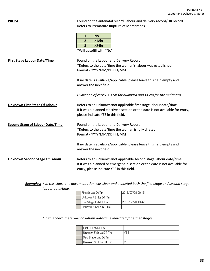**PROM** Found on the antenatal record, labour and delivery record/OR record Refers to Premature Rupture of Membranes

|   | No       |
|---|----------|
| 2 | $>18$ hr |
| 3 | >24hr    |
|   |          |

\*Will autofill with "No"

| <b>First Stage Labour Date/Time</b>     | Found on the Labour and Delivery Record<br>*Refers to the date/time the woman's labour was established.<br>Format - YYYY/MM/DD HH/MM                                                          |
|-----------------------------------------|-----------------------------------------------------------------------------------------------------------------------------------------------------------------------------------------------|
|                                         | If no date is available/applicable, please leave this field empty and<br>answer the next field.                                                                                               |
|                                         | Dilatation of cervix: >3 cm for nullipara and >4 cm for the multipara.                                                                                                                        |
| <b>Unknown First Stage Of Labour</b>    | Refers to an unknown/not applicable first stage labour date/time.<br>If it was a planned elective c-section or the date is not available for entry,<br>please indicate YES in this field.     |
| <b>Second Stage of Labour Date/Time</b> | Found on the Labour and Delivery Record<br>*Refers to the date/time the woman is fully dilated.<br>Format - YYYY/MM/DD HH/MM                                                                  |
|                                         | If no date is available/applicable, please leave this field empty and<br>answer the next field.                                                                                               |
| <b>Unknown Second Stage Of Labour</b>   | Refers to an unknown/not applicable second stage labour date/time.<br>If it was a planned or emergent c-section or the date is not available for<br>entry, please indicate YES in this field. |

*Examples: \* In this chart, the documentation was clear and indicated both the first stage and second stage labour date/time.*

| First St Lab Dt Tm     | 2016/07/28 09:15  |
|------------------------|-------------------|
| ∐nkown F St La DT Tm   |                   |
| ∥Sec Stage Lab Dt Tm   | 12016/07/28 13:42 |
| ∥Unkown S St La DT Tm. |                   |

*\*In this chart, there was no labour date/time indicated for either stages.*

| First St Lab Dt Tm     |  |
|------------------------|--|
| ∥Unkown F St La DT Tm. |  |
| ∥Sec Stage Lab Dt Tm   |  |
| ∥Unkown S St La DT Tm. |  |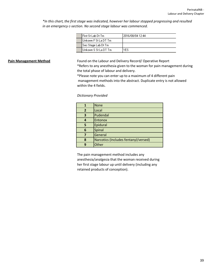*\*In this chart, the first stage was indicated, however her labour stopped progressing and resulted in an emergency c-section. No second stage labour was commenced.*

**Pain Management Method** Found on the Labour and Delivery Record/Operative Report

\*Refers to any anesthesia given to the woman for pain management during the total phase of labour and delivery.

\*Please note you can enter up to a maximum of 4 different pain management methods into the abstract. Duplicate entry is not allowed within the 4 fields.

## *Dictionary Provided*

|              | <b>None</b>                          |
|--------------|--------------------------------------|
| $\mathbf{2}$ | Local                                |
| 3            | Pudendal                             |
|              | Entonox                              |
|              | Epidural                             |
| 6            | Spinal                               |
|              | General                              |
| 8            | Narcotics (Includes fentanyl/versed) |
| q            | Other                                |

The pain management method includes any anesthesia/analgesia that the woman received during her first stage labour up until delivery (including any retained products of conception).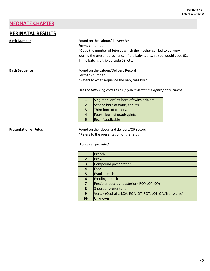# **NEONATE CHAPTER**

# **PERINATAL RESULTS**

**Birth Number Found on the Labour/delivery Record Format** - number \*Code the number of fetuses which the mother carried to delivery

 during the present pregnancy. If the baby is a twin, you would code 02. If the baby is a triplet, code 03, etc.

**Birth Sequence** Found on the Labour/Delivery Record **Format** - number \*Refers to what sequence the baby was born.

*Use the following codes to help you abstract the appropriate choice.*

|                         | Singleton, or first born of twins, triplets |
|-------------------------|---------------------------------------------|
| $\overline{2}$          | Second born of twins, triplets              |
| $\overline{\mathbf{3}}$ | Third born of triplets                      |
| 4                       | Fourth born of quadruplets                  |
| 5                       | Etc., if applicable                         |

**Presentation of Fetus** Found on the labour and delivery/OR record \*Refers to the presentation of the fetus

*Dictionary provided*

|               | <b>Breech</b>                                             |
|---------------|-----------------------------------------------------------|
| $\mathfrak z$ | <b>Brow</b>                                               |
| 3             | Compound presentation                                     |
| 4             | Face                                                      |
| 5             | Frank breech                                              |
| 6             | <b>Footling breech</b>                                    |
| 7             | Persistent occiput posterior (ROP,LOP, OP)                |
| 8             | Shoulder presentation                                     |
| 9             | Vertex (Cephalic, LOA, ROA, OT, ROT, LOT, OA, Transverse) |
| 99            | Unknown                                                   |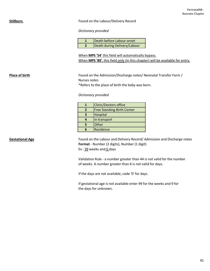# **Stillborn Example 20 Found on the Labour/Delivery Record**

*Dictionary provided*

| Death before Labour onset    |
|------------------------------|
| Death during Delivery/Labour |

When **MPS '54'** this field will automatically bypass. When **MPS '89'**, this field only (in this chapter) will be available for entry.

Place of birth **Place of birth** Found on the Admission/Discharge notes/ Neonatal Transfer Form / Nurses notes

\*Refers to the place of birth the baby was born.

*Dictionary provided*

|                | <b>Clinic/Doctors office</b>      |  |
|----------------|-----------------------------------|--|
| $\overline{2}$ | <b>Free Standing Birth Center</b> |  |
|                | Hospital                          |  |
|                | In transport                      |  |
|                | Other                             |  |
|                | Residence                         |  |

Gestational Age **Found on the Labour and Delivery Record/ Admission and Discharge notes Format** - Number (2 digits), Number (1 digit) Ex :  $39$  weeks and  $6$  days

> Validation Rule - a number greater than 44 is not valid for the number of weeks. A number greater than 6 is not valid for days.

If the days are not available, code '0' for days.

If gestational age is not available enter 99 for the weeks and 9 for the days for unknown.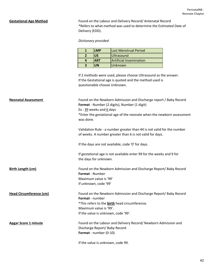**Gestational Age Method** Found on the Labour and Delivery Record/ Antenatal Record \*Refers to what method was used to determine the Estimated Date of Delivery (EDD).

### *Dictionary provided*

| <b>LMP</b> | <b>Last Menstrual Period</b>   |
|------------|--------------------------------|
| บร         | <b>Ultrasound</b>              |
| <b>ART</b> | <b>Artificial Insemination</b> |
| UN         | Unknown                        |

If 2 methods were used, please choose Ultrasound as the answer. If the Gestational age is quoted and the method used is questionable choose Unknown.

| <b>Neonatal Assessment</b>     | Found on the Newborn Admission and Discharge report / Baby Record<br>Format - Number (2 digits), Number (1 digit)<br>Ex: 39 weeks and 6 days<br>*Enter the gestational age of the neonate when the newborn assessment<br>was done. |
|--------------------------------|------------------------------------------------------------------------------------------------------------------------------------------------------------------------------------------------------------------------------------|
|                                | Validation Rule - a number greater than 44 is not valid for the number<br>of weeks. A number greater than 6 is not valid for days.                                                                                                 |
|                                | If the days are not available, code '0' for days.                                                                                                                                                                                  |
|                                | If gestational age is not available enter 99 for the weeks and 9 for<br>the days for unknown.                                                                                                                                      |
| <b>Birth Length (cm)</b>       | Found on the Newborn Admission and Discharge Report/ Baby Record<br><b>Format</b> - Number<br>Maximum value is '99'<br>If unknown, code '99'                                                                                       |
| <b>Head Circumference (cm)</b> | Found on the Newborn Admission and Discharge Report/ Baby Record<br><b>Format</b> - number<br>*This refers to the <b>birth</b> head circumference.<br>Maximum value is '99'.<br>If the value is unknown, code '99'.                |
| <b>Apgar Score 1 minute</b>    | Found on the Labour and Delivery Record/ Newborn Admission and<br>Discharge Report/ Baby Record<br>Format - number (0-10)                                                                                                          |
|                                | If the value is unknown, code 99.                                                                                                                                                                                                  |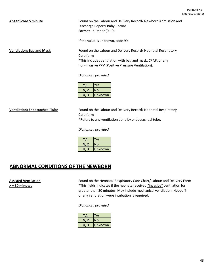Apgar Score 5 minute **Found on the Labour and Delivery Record/ Newborn Admission and** Discharge Report/ Baby Record **Format** - number (0-10)

If the value is unknown, code 99.

**Ventilation: Bag and Mask** Found on the Labour and Delivery Record/ Neonatal Respiratory Care form \*This includes ventilation with bag and mask, CPAP, or any non-invasive PPV (Positive Pressure Ventilation).

## *Dictionary provided*

|      | Yes     |
|------|---------|
| N, 2 | No      |
| U. 3 | Unknown |

**Ventilation: Endotracheal Tube** Found on the Labour and Delivery Record/ Neonatal Respiratory Care form

\*Refers to any ventilation done by endotracheal tube.

## *Dictionary provided*

|      | Yes     |
|------|---------|
| N, 2 | lNo     |
| U. 3 | Unknown |

# **ABNORMAL CONDITIONS OF THE NEWBORN**

**Assisted Ventilation** Found on the Neonatal Respiratory Care Chart/ Labour and Delivery Form **> = 30 minutes** \*This fields indicates if the neonate received "invasive" ventilation for greater than 30 minutes. May include mechanical ventilation, Neopuff or any ventilation were intubation is required.

## *Dictionary provided*

|          | Yes            |
|----------|----------------|
| N, 2     | No             |
| . 3<br>U | <b>Unknown</b> |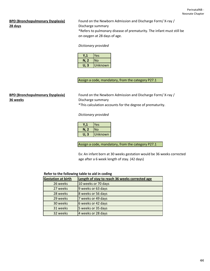# **28 days Discharge summary**

**BPD (Bronchopulmonary Dysplasia)** Found on the Newborn Admission and Discharge Form/ X-ray / \*Refers to pulmonary disease of prematurity. The infant must still be on oxygen at 28 days of age.

# *Dictionary provided*

|      | Yes     |
|------|---------|
| N, 2 | No      |
| U. 3 | Unknown |

Assign a code, mandatory, from the category P27.1

# **36 weeks** Discharge summary

**BPD (Bronchopulmonary Dysplasia)** Found on the Newborn Admission and Discharge Form/ X-ray / \*This calculation accounts for the degree of prematurity.

# *Dictionary provided*

|      | Yes     |
|------|---------|
| N, 2 | lNo     |
| U. 3 | Unknown |

Assign a code, mandatory, from the category P27.1

Ex: An infant born at 30 weeks gestation would be 36 weeks corrected age after a 6 week length of stay. (42 days)

# **Refer to the following table to aid in coding**

| <b>Gestation at birth</b> | Length of stay to reach 36 weeks corrected age |
|---------------------------|------------------------------------------------|
| 26 weeks                  | 10 weeks or 70 days                            |
| 27 weeks                  | 9 weeks or 63 days                             |
| 28 weeks                  | 8 weeks or 56 days                             |
| 29 weeks                  | 7 weeks or 49 days                             |
| 30 weeks                  | 6 weeks or 42 days                             |
| 31 weeks                  | 5 weeks or 35 days                             |
| 32 weeks                  | 4 weeks or 28 days                             |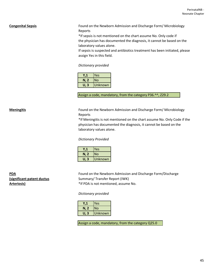**Congenital Sepsis Found on the Newborn Admission and Discharge Form/ Microbiology** Reports

> \*If sepsis is not mentioned on the chart assume No. Only code if the physician has documented the diagnosis, it cannot be based on the laboratory values alone.

If sepsis is suspected and antibiotics treatment has been initiated, please assign Yes in this field.

*Dictionary provided*

|      | Yes     |
|------|---------|
| N, 2 | No      |
| U. 3 | Unknown |

Assign a code, mandatory, from the category P36.^^, Z29.2

**Meningitis** Found on the Newborn Admission and Discharge Form/ Microbiology Reports

> \*If Meningitis is not mentioned on the chart assume No. Only Code if the physician has documented the diagnosis, it cannot be based on the laboratory values alone.

## *Dictionary Provided*

|        | /es     |
|--------|---------|
| N, 2   | No      |
| З<br>U | Unknown |

**PDA Found on the Newborn Admission and Discharge Form/Discharge Form (significant patent ductus** Summary/ Transfer Report (IWK) Arteriosis) **Arteriosis Arteriosis Arteriosis Arteriosis Arteriosis Arteriosis Arteriosis Arteriosis Arteriosis Arteriosis Arteriosis Arteriosis Arteriosis Arteriosis Arteriosis Arteriosis A** 

## *Dictionary provided*

|      | Yes       |
|------|-----------|
| N, 2 | <b>No</b> |
| U. 3 | Unknown   |

Assign a code, mandatory, from the category Q25.0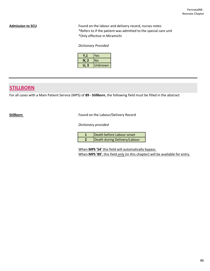Admission to SCU **Admission to SCU Found on the labour and delivery record, nurses notes** \*Refers to if the patient was admitted to the special care unit \*Only effective in Miramichi

# *Dictionary Provided*

|      | Yes     |
|------|---------|
| N, 2 | lNo     |
| U. 3 | Unknown |

# **STILLBORN**

For all cases with a Main Patient Service (MPS) of **89 - Stillborn**, the following field must be filled in the abstract

**Stillborn Example 20 Found on the Labour/Delivery Record** 

*Dictionary provided*

| Death before Labour onset    |
|------------------------------|
| Death during Delivery/Labour |

When **MPS '54'** this field will automatically bypass. When **MPS '89'**, this field only (in this chapter) will be available for entry.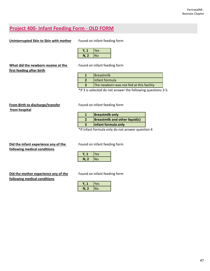# **Project 400- Infant Feeding Form - OLD FORM**

# **Uninterrupted Skin to Skin with mother** Found on infant feeding form

|      | Yes |
|------|-----|
| N, 2 | INo |

**What did the newborn receive at the Found on infant feeding form first feeding after birth**

| <b>I</b> Breastmilk                      |
|------------------------------------------|
| Infant formula                           |
| The newborn was not fed at this facility |

\*If 3 is selected do not answer the following questions 3-5.

# **From Birth to discharge/transfer** Found on infant feeding form  **from hospital**

| <b>Breastmilk only</b>                |
|---------------------------------------|
| <b>Breastmilk and other liquid(s)</b> |
| Infant formula only                   |

\*If infant formula only do not answer question 4

**Did the infant experience any of the Found on infant feeding form following medical conditions**

**Did the mother experience any of the** Found on infant feeding form **following medical conditions**

|                   | Yes |
|-------------------|-----|
| $\mathbf{z}$<br>N | No. |

|      | es |
|------|----|
| N, 2 | No |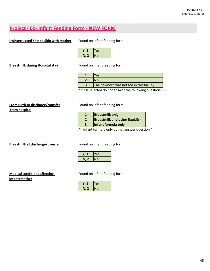# **Project 400- Infant Feeding Form - NEW FORM**

# **Uninterrupted Skin to Skin with mother** Found on infant feeding form

|      | res |
|------|-----|
| N, 2 | No  |

**Breastmilk during Hospital stay** Found on infant feeding form

|                   | /ρς                                      |
|-------------------|------------------------------------------|
|                   |                                          |
|                   | The newborn was not fed in this facility |
| $\cdots$ $\cdots$ |                                          |

\*If 3 is selected do not answer the following questions 3-5.

# **From Birth to discharge/transfer** Found on infant feeding form  **from hospital**

| <b>Breastmilk only</b>                |
|---------------------------------------|
| <b>Breastmilk and other liquid(s)</b> |
| Infant formula only                   |

\*If infant formula only do not answer question 4

**Breastmilk at discharge/transfer** Found on infant feeding form

|              | les |
|--------------|-----|
| $\mathbf{z}$ | No  |

# **infant/mother**

**Medical conditions affecting <b>Found On** infant feeding form

|            | les       |
|------------|-----------|
| I, Z<br>IJ | <b>No</b> |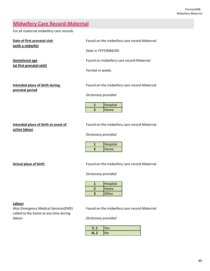# **Midwifery Care Record-Maternal**

For all maternal midwifery care records

| Date of first prenatal visit<br>(with a midwife)    | Found on the midwifery care record-Maternal |
|-----------------------------------------------------|---------------------------------------------|
|                                                     | Date in YYYY/MM/DD                          |
| <b>Gestational age</b><br>(at first prenatal visit) | Found on midwifery care record-Maternal     |
|                                                     | Format in weeks                             |
| Intended place of birth during<br>prenatal period   | Found on the midwifery care record-Maternal |
|                                                     | Dictionary provided                         |

| Hospital    |
|-------------|
| <b>Home</b> |

**active labour**

**Intended place of birth at onset of** Found on the midwifery care record-Maternal

*Dictionary provided*

| Hospital     |
|--------------|
| <b>IHome</b> |

Actual place of birth **Actual place of birth Found on the midwifery care record-Maternal** 

*Dictionary provided*

| Hospital     |
|--------------|
| <b>Home</b>  |
| <b>Other</b> |

# **Labour**

called to the home at any time during labour *Dictionary provided*

Was Emergency Medical Services(EMS) Found on the midwifery care record-Maternal

| A pr<br>۰. | Yes |
|------------|-----|
| N,<br>⋍    | No  |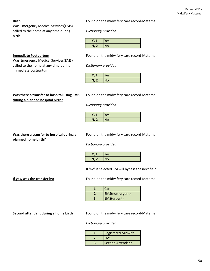50

Was Emergency Medical Services(EMS) called to the home at any time during *Dictionary provided* birth

**Birth Birth Found on the midwifery care record-Maternal** 

| ν<br>ι,<br>л. | Yes       |
|---------------|-----------|
| N, 7<br>◢     | <b>No</b> |

Was Emergency Medical Services(EMS) called to the home at any time during *Dictionary provided* immediate postpartum

**Immediate Postpartum** Found on the midwifery care record-Maternal

| v    | Yes       |
|------|-----------|
| N, 2 | <b>No</b> |

# **during a planned hospital birth?**

Was there a transfer to hospital using EMS Found on the midwifery care record-Maternal

*Dictionary provided*

| $\bullet$             | Yes       |
|-----------------------|-----------|
| $\blacksquare N$<br>- | <b>No</b> |

# **planned home birth?**

**Was there a transfer to hospital during a** Found on the midwifery care record-Maternal

*Dictionary provided*

| $\overline{\mathbf{v}}$<br>., | Yes       |
|-------------------------------|-----------|
| N, 2<br>z.                    | <b>No</b> |

If 'No' is selected 3M will bypass the next field

**If yes, was the transfer by:** Found on the midwifery care record-Maternal

| <b>Car</b>             |
|------------------------|
| <b>EMS(non-urgent)</b> |
| <b>EMS(urgent)</b>     |

**Second attendant during a home birth** Found on the midwifery care record-Maternal

*Dictionary provided*

| <b>Registered Midwife</b> |
|---------------------------|
| <b>IEMS</b>               |
| Second Attendant          |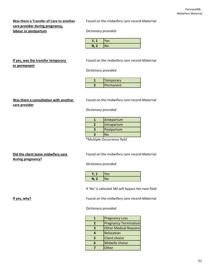# **care provider during pregnancy, labour or postpartum** *Dictionary provided*

Was there a Transfer of Care to another Found on the midwifery care record-Maternal

| v<br>ι, | Yes       |
|---------|-----------|
| N, 2    | <b>No</b> |

# **or permanent**

**If yes, was the transfer temporary Found on the midwifery care record-Maternal** 

*Dictionary provided*

| Temporary        |
|------------------|
| <b>Permanent</b> |

# **care provider**

Was there a consultation with another **Found on the midwifery care record-Maternal** 

*Dictionary provided*

| Antepartum  |
|-------------|
| Intrapartum |
| Postpartum  |
| ง∩          |

\*Multiple Occurrence field

# **during pregnancy?**

**Did the client leave midwifery care** Found on the midwifery care record-Maternal

*Dictionary provided*

| v              | Yes |
|----------------|-----|
| N, 2<br>$\sim$ | N٥  |

If 'No' is selected 3M will bypass the next field

**If yes, why? If yes, why? Found on the midwifery care record-Maternal** 

# *Dictionary provided*

|   | <b>Pregnancy Loss</b>        |
|---|------------------------------|
| 2 | <b>Pregnancy Termination</b> |
| 3 | Other Medical Reasons        |
|   | Relocation                   |
| 5 | <b>Client choice</b>         |
|   | Midwife choice               |
|   | Other                        |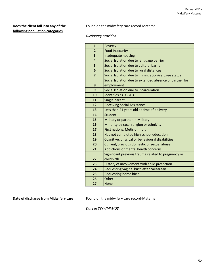# **following population categories**

**Does the client fall into any of the Found on the midwifery care record-Maternal** 

*Dictionary provided*

| $\mathbf{1}$   | Poverty                                                 |
|----------------|---------------------------------------------------------|
| $\overline{2}$ | <b>Food Insecurity</b>                                  |
| 3              | Inadequate housing                                      |
| 4              | Social Isolation due to language barrier                |
| 5              | Social Isolation due to cultural barrier                |
| 6              | Social Isolation due to rural distances                 |
| $\overline{7}$ | Social Isolation due to immigration/refugee status      |
|                | Social Isolation due to extended absence of partner for |
| 8              | employment                                              |
| 9              | Social Isolation due to incarceration                   |
| 10             | <b>Identifies as LGBTQ</b>                              |
| 11             | Single parent                                           |
| 12             | <b>Receiving Social Assistance</b>                      |
| 13             | Less than 21 years old at time of delivery              |
| 14             | <b>Student</b>                                          |
| 15             | <b>Military or partner in Military</b>                  |
| 16             | Minority by race, religion or ethnicity                 |
| 17             | First nations, Metis or Inuit                           |
| 18             | Has not completed high school education                 |
| 19             | Cognitive, physical or behavioural disabilities         |
| 20             | Current/previous domestic or sexual abuse               |
| 21             | Addictions or mental health concerns                    |
|                | Significant previous trauma related to pregnancy or     |
| 22             | childbirth                                              |
| 23             | History of involvement with child protection            |
| 24             | Requesting vaginal birth after caesarean                |
| 25             | <b>Requesting home birth</b>                            |
| 26             | Other                                                   |
| 27             | <b>None</b>                                             |

**Date of discharge from Midwifery care** Found on the midwifery care record-Maternal

*Date in YYYY/MM/DD*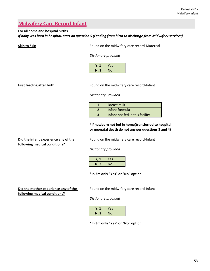# **Midwifery Care Record-Infant**

# **For all home and hospital births**

*If baby was born in hospital, start on question 5 (Feeding from birth to discharge from Midwifery services)*

**Skin to Skin Found on the midwifery care record-Maternal** 

*Dictionary provided*

|              | Yes |
|--------------|-----|
| $\mathbf{Z}$ | No  |

**First feeding after birth Found on the midwifery care record-Infant** 

## *Dictionary Provided*

| <b>IBreast milk</b>             |
|---------------------------------|
| Infant formula                  |
| Infant not fed in this facility |

# **\*If newborn not fed in home(transferred to hospital or neonatal death do not answer questions 3 and 4)**

# **following medical conditions?**

**Did the infant experience any of the** Found on the midwifery care record-Infant

*Dictionary provided*

|      | Yes |
|------|-----|
| N, 2 | No  |

**\*In 3m only "Yes" or "No" option**

# **following medical conditions?**

**Did the mother experience any of the Separat** Found on the midwifery care record-Infant

*Dictionary provided*

|      | Yes |
|------|-----|
| N, 2 | INo |

**\*In 3m only "Yes" or "No" option**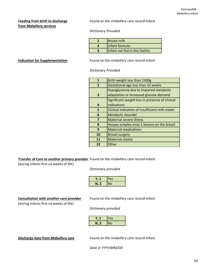# **from Midwifery services**

**Feeding from birth to discharge** Found on the midwifery care record-Infant

# *Dictionary Provided*

| <b>Breast milk</b>              |
|---------------------------------|
| Infant formula                  |
| Infant not fed in this facility |

**Indication for Supplementation** Found on the midwifery care record-Infant

*Dictionary Provided*

| 1              | Birth weight less than 1500g                    |
|----------------|-------------------------------------------------|
| $\overline{2}$ | Gestational age less than 32 weeks              |
|                | Hypoglycemia due to impaired metabolic          |
| з              | adaptation or increased glucose demand          |
|                | Significant weight loss in presence of clinical |
| 4              | indications                                     |
| 5              | Clinical indication of insufficient milk intake |
| 6              | Metabolic disorder                              |
| 7              | <b>Maternal severe illness</b>                  |
| 8              | Herpes simplex virus 1-lesions on the breast    |
| 9              | <b>Maternal medications</b>                     |
| 10             | <b>Breast surgery</b>                           |
| 11             | <b>Maternal choice</b>                          |
| 12             | Other                                           |
|                |                                                 |

# **Transfer of Care to another primary provider** Found on the midwifery care record-Infant

(during infants first six weeks of life)

*Dictionary provided*

| wь   | <b>Yes</b> |
|------|------------|
| N, 2 | <b>No</b>  |

# **Consultation with another care provider** Found on the midwifery care record-Infant

(during infants first six weeks of life)

*Dictionary provided*

| -71  | Yes       |
|------|-----------|
| N, 2 | <b>No</b> |

**Discharge date from Midwifery care** Found on the midwifery care record-Infant

*Date in YYYY/MM/DD*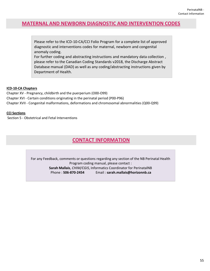# **MATERNAL AND NEWBORN DIAGNOSTIC AND INTERVENTION CODES**

Please refer to the ICD-10-CA/CCI Folio Program for a complete list of approved diagnostic and interventions codes for maternal, newborn and congenital anomaly coding.

For further coding and abstracting instructions and mandatory data collection , please refer to the Canadian Coding Standards v2018, the Discharge Abstract Database manual (DAD) as well as any coding/abstracting instructions given by Department of Health.

# **ICD-10-CA Chapters**

Chapter XVII - Congenital malformations, deformations and chromosomal abnormalities (Q00-Q99) Chapter XVI - Certain conditions originating in the perinatal period (P00-P96) Chapter XV - Pregnancy, childbirth and the puerperium (O00-O99)

# **CCI Sections**

Section 5 - Obstetrical and Fetal Interventions

# **CONTACT INFORMATION**

For any Feedback, comments or questions regarding any section of the NB Perinatal Health Program coding manual, please contact : **Sarah Mallais**, *CHIM/CGIS*, Informatics Coordinator for PerinatalNB Phone : **506-870-2454** Email : **sarah.mallais@horizonnb.ca**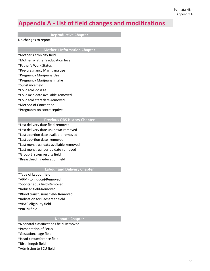# **Appendix A - List of field changes and modifications**

**Reproductive Chapter**

No changes to report

**Mother's Information Chapter**

- \*Mother's ethnicity field
- \*Mother's/father's education level
- \*Father's Work Status
- \*Pre-pregnancy Marijuana use
- \*Pregnancy Marijuana Use
- \*Pregnancy Marijuana Intake
- \*Substance field
- \*Folic acid dosage
- \*Folic Acid date available-removed
- \*Folic acid start date-removed
- \*Method of Conception
- \*Pregnancy on contraceptive

# **Previous OBS History Chapter**

- \*Last delivery date field-removed
- \*Last delivery date unknown-removed
- \*Last abortion date available-removed
- \*Last abortion date -removed
- \*Last menstrual data available-removed
- \*Last menstrual period date-removed
- \*Group B strep results field
- \*Breastfeeding education field

# **Labour and Delivery Chapter**

- \*Type of Labour field
- \*ARM (to induce)-Removed
- \*Spontaneous field-Removed
- \*Induced field-Removed
- \*Blood transfusions field- Removed
- \*Indication for Caesarean field
- \*VBAC eligibility field
- \*PROM field

# **Neonate Chapter**

- \*Neonatal classifications field-Removed
- \*Presentation of Fetus
- \*Gestational age field
- \*Head circumference field
- \*Birth length field
- \*Admission to SCU field